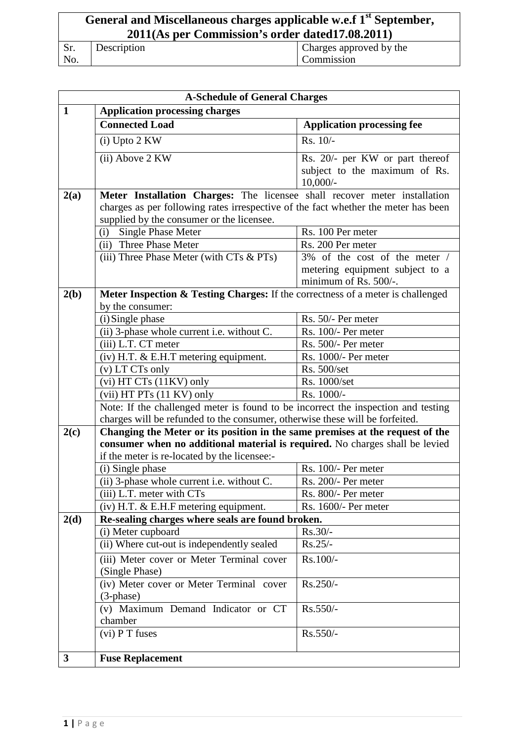# **General and Miscellaneous charges applicable w.e.f 1st September, 2011(As per Commission's order dated17.08.2011)**

| Sr. | Description | Charges approved by the |
|-----|-------------|-------------------------|
| No. |             | Commission              |

|              | <b>A-Schedule of General Charges</b>                                               |                                                          |  |
|--------------|------------------------------------------------------------------------------------|----------------------------------------------------------|--|
| $\mathbf{1}$ | <b>Application processing charges</b>                                              |                                                          |  |
|              | <b>Connected Load</b>                                                              | <b>Application processing fee</b>                        |  |
|              | (i) Upto 2 KW                                                                      | $Rs. 10/-$                                               |  |
|              | (ii) Above 2 KW                                                                    | Rs. 20/- per KW or part thereof                          |  |
|              |                                                                                    | subject to the maximum of Rs.                            |  |
|              |                                                                                    | $10,000/$ -                                              |  |
| 2(a)         | Meter Installation Charges: The licensee shall recover meter installation          |                                                          |  |
|              | charges as per following rates irrespective of the fact whether the meter has been |                                                          |  |
|              | supplied by the consumer or the licensee.                                          |                                                          |  |
|              | <b>Single Phase Meter</b><br>(i)                                                   | Rs. 100 Per meter                                        |  |
|              | (ii) Three Phase Meter                                                             | Rs. 200 Per meter                                        |  |
|              | (iii) Three Phase Meter (with CTs & PTs)                                           | 3% of the cost of the meter /                            |  |
|              |                                                                                    | metering equipment subject to a<br>minimum of Rs. 500/-. |  |
| 2(b)         | Meter Inspection & Testing Charges: If the correctness of a meter is challenged    |                                                          |  |
|              | by the consumer:                                                                   |                                                          |  |
|              | (i) Single phase                                                                   | Rs. 50/- Per meter                                       |  |
|              | (ii) 3-phase whole current <i>i.e.</i> without C.                                  | Rs. 100/- Per meter                                      |  |
|              | (iii) L.T. CT meter                                                                | Rs. 500/- Per meter                                      |  |
|              | $(iv)$ H.T. $&$ E.H.T metering equipment.                                          | Rs. 1000/- Per meter                                     |  |
|              | (v) LT CTs only                                                                    | Rs. 500/set                                              |  |
|              | (vi) HT CTs (11KV) only                                                            | Rs. 1000/set                                             |  |
|              | (vii) HT PTs (11 KV) only                                                          | Rs. 1000/-                                               |  |
|              | Note: If the challenged meter is found to be incorrect the inspection and testing  |                                                          |  |
|              | charges will be refunded to the consumer, otherwise these will be forfeited.       |                                                          |  |
| 2(c)         | Changing the Meter or its position in the same premises at the request of the      |                                                          |  |
|              | consumer when no additional material is required. No charges shall be levied       |                                                          |  |
|              | if the meter is re-located by the licensee:-                                       |                                                          |  |
|              | (i) Single phase                                                                   | Rs. 100/- Per meter                                      |  |
|              | (ii) 3-phase whole current i.e. without C.                                         | Rs. 200/- Per meter                                      |  |
|              | (iii) L.T. meter with CTs                                                          | Rs. 800/- Per meter                                      |  |
|              | $(iv)$ H.T. $&$ E.H.F metering equipment.                                          | Rs. 1600/- Per meter                                     |  |
| 2(d)         | Re-sealing charges where seals are found broken.                                   |                                                          |  |
|              | (i) Meter cupboard                                                                 | $Rs.30/-$                                                |  |
|              | (ii) Where cut-out is independently sealed                                         | $Rs.25/-$                                                |  |
|              | (iii) Meter cover or Meter Terminal cover                                          | Rs.100/-                                                 |  |
|              | (Single Phase)                                                                     |                                                          |  |
|              | (iv) Meter cover or Meter Terminal cover                                           | Rs.250/-                                                 |  |
|              | $(3$ -phase)                                                                       |                                                          |  |
|              | (v) Maximum Demand Indicator or CT                                                 | Rs.550/-                                                 |  |
|              | chamber                                                                            |                                                          |  |
|              | $(vi)$ P T fuses                                                                   | Rs.550/-                                                 |  |
| $\mathbf{3}$ | <b>Fuse Replacement</b>                                                            |                                                          |  |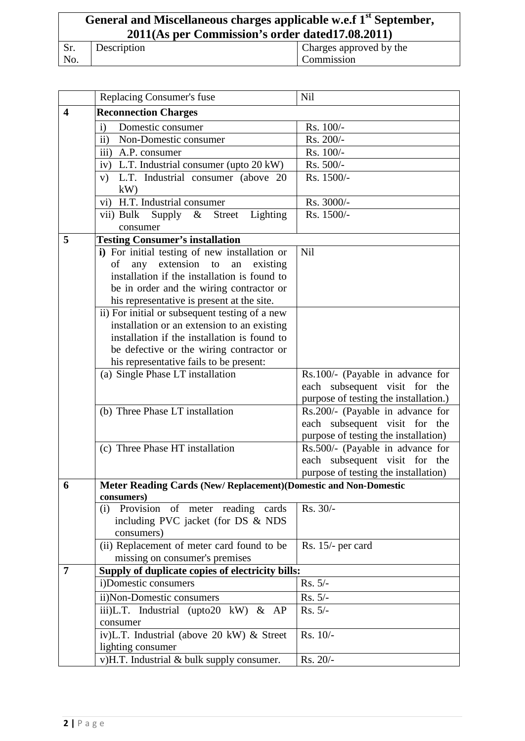### **General and Miscellaneous charges applicable w.e.f 1st September, 2011(As per Commission's order dated17.08.2011)** Sr.

| Description | Charges approved by the |
|-------------|-------------------------|
|             | Commission              |

|                         | Replacing Consumer's fuse                                                                   | <b>Nil</b>                            |
|-------------------------|---------------------------------------------------------------------------------------------|---------------------------------------|
| $\overline{\mathbf{4}}$ | <b>Reconnection Charges</b>                                                                 |                                       |
|                         | Domestic consumer<br>$\mathbf{i}$                                                           | Rs. 100/-                             |
|                         | ii) Non-Domestic consumer                                                                   | Rs. 200/-                             |
|                         | iii) A.P. consumer                                                                          | Rs. 100/-                             |
|                         | iv) L.T. Industrial consumer (upto 20 kW)                                                   | Rs. 500/-                             |
|                         | v) L.T. Industrial consumer (above 20                                                       | Rs. 1500/-                            |
|                         | kW                                                                                          |                                       |
|                         | vi) H.T. Industrial consumer                                                                | Rs. 3000/-                            |
|                         | Lighting<br>vii) Bulk Supply & Street                                                       | Rs. 1500/-                            |
|                         | consumer                                                                                    |                                       |
| 5                       | <b>Testing Consumer's installation</b>                                                      |                                       |
|                         | i) For initial testing of new installation or                                               | Nil                                   |
|                         | any extension to<br>an<br>of<br>existing                                                    |                                       |
|                         | installation if the installation is found to                                                |                                       |
|                         | be in order and the wiring contractor or                                                    |                                       |
|                         | his representative is present at the site.                                                  |                                       |
|                         | ii) For initial or subsequent testing of a new                                              |                                       |
|                         | installation or an extension to an existing<br>installation if the installation is found to |                                       |
|                         | be defective or the wiring contractor or                                                    |                                       |
|                         | his representative fails to be present:                                                     |                                       |
|                         | (a) Single Phase LT installation                                                            | Rs.100/- (Payable in advance for      |
|                         |                                                                                             | each subsequent visit for the         |
|                         |                                                                                             | purpose of testing the installation.) |
|                         | (b) Three Phase LT installation                                                             | Rs.200/- (Payable in advance for      |
|                         |                                                                                             | each subsequent visit for the         |
|                         |                                                                                             | purpose of testing the installation)  |
|                         | (c) Three Phase HT installation                                                             | Rs.500/- (Payable in advance for      |
|                         |                                                                                             | each subsequent visit for the         |
|                         |                                                                                             | purpose of testing the installation)  |
| 6                       | Meter Reading Cards (New/Replacement)(Domestic and Non-Domestic                             |                                       |
|                         | consumers)<br>(i) Provision of meter reading cards                                          | Rs. 30/-                              |
|                         | including PVC jacket (for DS & NDS                                                          |                                       |
|                         | consumers)                                                                                  |                                       |
|                         | (ii) Replacement of meter card found to be                                                  | Rs. 15/- per card                     |
|                         | missing on consumer's premises                                                              |                                       |
| $\overline{7}$          | Supply of duplicate copies of electricity bills:                                            |                                       |
|                         | i)Domestic consumers                                                                        | $Rs. 5/-$                             |
|                         | ii)Non-Domestic consumers                                                                   | $Rs. 5/-$                             |
|                         | iii)L.T. Industrial (upto20 kW) & AP                                                        | Rs. 5/-                               |
|                         | consumer                                                                                    |                                       |
|                         | iv)L.T. Industrial (above 20 kW) & Street                                                   | $Rs. 10/-$                            |
|                         | lighting consumer                                                                           |                                       |
|                         | v)H.T. Industrial & bulk supply consumer.                                                   | Rs. 20/-                              |

No.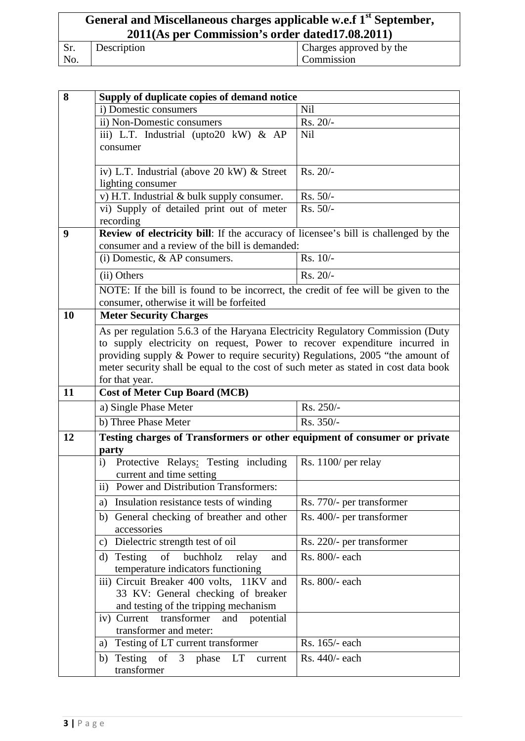#### **General and Miscellaneous charges applicable w.e.f 1st September, 2011(As per Commission's order dated17.08.2011)** Sr. No. Description Charges approved by the Commission

| 8<br>Supply of duplicate copies of demand notice |                                                                                     |                           |
|--------------------------------------------------|-------------------------------------------------------------------------------------|---------------------------|
|                                                  | i) Domestic consumers                                                               | Nil                       |
|                                                  | ii) Non-Domestic consumers                                                          | $Rs. 20/$ -               |
|                                                  | iii) L.T. Industrial (upto20 kW) & AP                                               | Nil                       |
|                                                  | consumer                                                                            |                           |
|                                                  | iv) L.T. Industrial (above 20 kW) & Street                                          | $Rs. 20/-$                |
|                                                  | lighting consumer                                                                   |                           |
|                                                  | v) H.T. Industrial & bulk supply consumer.                                          | Rs. 50/-                  |
|                                                  | vi) Supply of detailed print out of meter                                           | Rs. 50/-                  |
|                                                  | recording                                                                           |                           |
| 9                                                | Review of electricity bill: If the accuracy of licensee's bill is challenged by the |                           |
|                                                  | consumer and a review of the bill is demanded:                                      |                           |
|                                                  | (i) Domestic, $&$ AP consumers.                                                     | $Rs. 10/-$                |
|                                                  | (ii) Others                                                                         | Rs. 20/-                  |
|                                                  | NOTE: If the bill is found to be incorrect, the credit of fee will be given to the  |                           |
|                                                  | consumer, otherwise it will be forfeited                                            |                           |
| <b>10</b>                                        | <b>Meter Security Charges</b>                                                       |                           |
|                                                  | As per regulation 5.6.3 of the Haryana Electricity Regulatory Commission (Duty      |                           |
|                                                  | to supply electricity on request, Power to recover expenditure incurred in          |                           |
|                                                  | providing supply & Power to require security) Regulations, 2005 "the amount of      |                           |
|                                                  | meter security shall be equal to the cost of such meter as stated in cost data book |                           |
|                                                  | for that year.                                                                      |                           |
| 11                                               | <b>Cost of Meter Cup Board (MCB)</b>                                                |                           |
|                                                  | a) Single Phase Meter                                                               | Rs. 250/-                 |
|                                                  | b) Three Phase Meter                                                                | Rs. 350/-                 |
| 12                                               | Testing charges of Transformers or other equipment of consumer or private           |                           |
|                                                  | party                                                                               |                           |
|                                                  |                                                                                     |                           |
|                                                  | Protective Relays: Testing including<br>i)                                          | Rs. 1100/ per relay       |
|                                                  | current and time setting                                                            |                           |
|                                                  | ii) Power and Distribution Transformers:                                            |                           |
|                                                  | Insulation resistance tests of winding<br>a)                                        | Rs. 770/- per transformer |
|                                                  | General checking of breather and other<br>b)                                        | Rs. 400/- per transformer |
|                                                  | accessories                                                                         |                           |
|                                                  | Dielectric strength test of oil<br>$\mathbf{c})$                                    | Rs. 220/- per transformer |
|                                                  | Testing<br>of<br>buchholz<br>d)<br>relay<br>and                                     | Rs. 800/- each            |
|                                                  | temperature indicators functioning                                                  | Rs. 800/- each            |
|                                                  | iii) Circuit Breaker 400 volts, 11KV and<br>33 KV: General checking of breaker      |                           |
|                                                  | and testing of the tripping mechanism                                               |                           |
|                                                  | iv) Current<br>transformer<br>and potential                                         |                           |
|                                                  | transformer and meter:                                                              |                           |
|                                                  | a) Testing of LT current transformer                                                | Rs. 165/- each            |
|                                                  | b) Testing of 3 phase LT<br>current<br>transformer                                  | Rs. 440/- each            |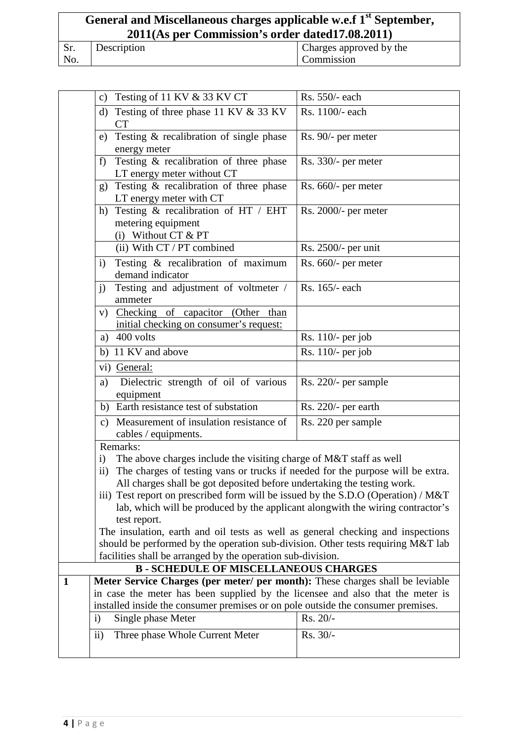### **General and Miscellaneous charges applicable w.e.f 1st September, 2011(As per Commission's order dated17.08.2011)**

| г. |  |
|----|--|
|    |  |

Description Charges approved by the Commission

|              | c) Testing of 11 KV $&$ 33 KV CT                                                               | Rs. 550/- each        |
|--------------|------------------------------------------------------------------------------------------------|-----------------------|
|              | Testing of three phase 11 KV & 33 KV<br>d)                                                     | Rs. 1100/- each       |
|              | <b>CT</b>                                                                                      |                       |
|              | Testing & recalibration of single phase<br>e)                                                  | Rs. 90/- per meter    |
|              | energy meter                                                                                   |                       |
|              | Testing & recalibration of three phase<br>f)                                                   | Rs. 330/- per meter   |
|              | LT energy meter without CT<br>g) Testing & recalibration of three phase                        |                       |
|              | LT energy meter with CT                                                                        | $Rs. 660/-$ per meter |
|              | h) Testing & recalibration of HT / EHT                                                         | Rs. 2000/- per meter  |
|              | metering equipment                                                                             |                       |
|              | (i) Without CT $& PT$                                                                          |                       |
|              | (ii) With CT / PT combined                                                                     | Rs. 2500/- per unit   |
|              | Testing & recalibration of maximum<br>$\mathbf{i}$                                             | Rs. 660/- per meter   |
|              | demand indicator                                                                               |                       |
|              | Testing and adjustment of voltmeter /<br>i)                                                    | Rs. 165/- each        |
|              | ammeter                                                                                        |                       |
|              | v) Checking of capacitor (Other<br>than<br>initial checking on consumer's request:             |                       |
|              | a) $400$ volts                                                                                 | Rs. 110/- per job     |
|              | b) 11 KV and above                                                                             | Rs. 110/- per job     |
|              | vi) General:                                                                                   |                       |
|              | Dielectric strength of oil of various<br>a)                                                    | Rs. 220/- per sample  |
|              | equipment                                                                                      |                       |
|              | b) Earth resistance test of substation                                                         | Rs. 220/- per earth   |
|              | Measurement of insulation resistance of<br>C)                                                  | Rs. 220 per sample    |
|              | cables / equipments.                                                                           |                       |
|              | Remarks:                                                                                       |                       |
|              | The above charges include the visiting charge of M&T staff as well<br>$\rm i)$                 |                       |
|              | The charges of testing vans or trucks if needed for the purpose will be extra.<br>$\rm ii)$    |                       |
|              | All charges shall be got deposited before undertaking the testing work.                        |                       |
|              | iii) Test report on prescribed form will be issued by the S.D.O (Operation) / M&T              |                       |
|              | lab, which will be produced by the applicant alongwith the wiring contractor's<br>test report. |                       |
|              | The insulation, earth and oil tests as well as general checking and inspections                |                       |
|              | should be performed by the operation sub-division. Other tests requiring M&T lab               |                       |
|              | facilities shall be arranged by the operation sub-division.                                    |                       |
|              | <b>B-SCHEDULE OF MISCELLANEOUS CHARGES</b>                                                     |                       |
| $\mathbf{1}$ | Meter Service Charges (per meter/ per month): These charges shall be leviable                  |                       |
|              | in case the meter has been supplied by the licensee and also that the meter is                 |                       |
|              | installed inside the consumer premises or on pole outside the consumer premises.               |                       |
|              | Single phase Meter<br>$\mathbf{i}$                                                             | Rs. 20/-              |
|              | $\mathbf{ii}$<br>Three phase Whole Current Meter                                               | Rs. 30/-              |
|              |                                                                                                |                       |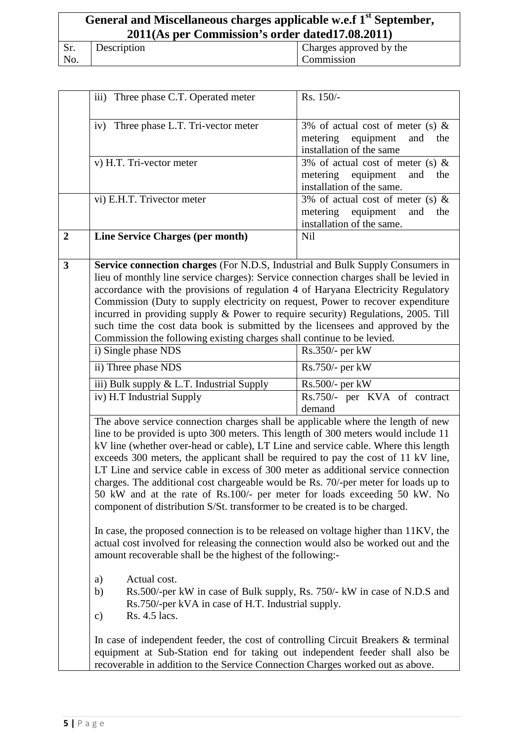| General and Miscellaneous charges applicable w.e.f 1 <sup>st</sup> September,<br>2011(As per Commission's order dated 17.08.2011) |             |                         |
|-----------------------------------------------------------------------------------------------------------------------------------|-------------|-------------------------|
| Sr.                                                                                                                               | Description | Charges approved by the |
| No.                                                                                                                               |             | Commission              |

|                         | iii) Three phase C.T. Operated meter                                                                                                                                                                                                                                                                                                                                                                                                                                                                                                                                                                                                                                                      | Rs. 150/-                                                                                               |
|-------------------------|-------------------------------------------------------------------------------------------------------------------------------------------------------------------------------------------------------------------------------------------------------------------------------------------------------------------------------------------------------------------------------------------------------------------------------------------------------------------------------------------------------------------------------------------------------------------------------------------------------------------------------------------------------------------------------------------|---------------------------------------------------------------------------------------------------------|
|                         | iv) Three phase L.T. Tri-vector meter                                                                                                                                                                                                                                                                                                                                                                                                                                                                                                                                                                                                                                                     | 3% of actual cost of meter (s) $\&$<br>metering equipment<br>and<br>the                                 |
|                         |                                                                                                                                                                                                                                                                                                                                                                                                                                                                                                                                                                                                                                                                                           | installation of the same                                                                                |
|                         | v) H.T. Tri-vector meter                                                                                                                                                                                                                                                                                                                                                                                                                                                                                                                                                                                                                                                                  | 3% of actual cost of meter (s) $\&$<br>metering<br>equipment<br>and<br>the<br>installation of the same. |
|                         | vi) E.H.T. Trivector meter                                                                                                                                                                                                                                                                                                                                                                                                                                                                                                                                                                                                                                                                | 3% of actual cost of meter (s) $\&$<br>metering equipment<br>and<br>the<br>installation of the same.    |
| $\overline{2}$          | <b>Line Service Charges (per month)</b>                                                                                                                                                                                                                                                                                                                                                                                                                                                                                                                                                                                                                                                   | <b>Nil</b>                                                                                              |
| $\overline{\mathbf{3}}$ | Service connection charges (For N.D.S, Industrial and Bulk Supply Consumers in<br>lieu of monthly line service charges): Service connection charges shall be levied in<br>accordance with the provisions of regulation 4 of Haryana Electricity Regulatory<br>Commission (Duty to supply electricity on request, Power to recover expenditure<br>incurred in providing supply & Power to require security) Regulations, 2005. Till<br>such time the cost data book is submitted by the licensees and approved by the<br>Commission the following existing charges shall continue to be levied.                                                                                            |                                                                                                         |
|                         | i) Single phase NDS                                                                                                                                                                                                                                                                                                                                                                                                                                                                                                                                                                                                                                                                       | $Rs.350/-$ per kW                                                                                       |
|                         | ii) Three phase NDS                                                                                                                                                                                                                                                                                                                                                                                                                                                                                                                                                                                                                                                                       | Rs.750/- per kW                                                                                         |
|                         | iii) Bulk supply & L.T. Industrial Supply                                                                                                                                                                                                                                                                                                                                                                                                                                                                                                                                                                                                                                                 | Rs.500/- per kW                                                                                         |
|                         | iv) H.T Industrial Supply                                                                                                                                                                                                                                                                                                                                                                                                                                                                                                                                                                                                                                                                 | Rs.750/- per KVA of contract<br>demand                                                                  |
|                         | The above service connection charges shall be applicable where the length of new<br>line to be provided is upto 300 meters. This length of 300 meters would include 11<br>kV line (whether over-head or cable), LT Line and service cable. Where this length<br>exceeds 300 meters, the applicant shall be required to pay the cost of 11 kV line,<br>LT Line and service cable in excess of 300 meter as additional service connection<br>charges. The additional cost chargeable would be Rs. 70/-per meter for loads up to<br>50 kW and at the rate of Rs.100/- per meter for loads exceeding 50 kW. No<br>component of distribution S/St. transformer to be created is to be charged. |                                                                                                         |
|                         | In case, the proposed connection is to be released on voltage higher than 11KV, the<br>actual cost involved for releasing the connection would also be worked out and the<br>amount recoverable shall be the highest of the following:-                                                                                                                                                                                                                                                                                                                                                                                                                                                   |                                                                                                         |
|                         | Actual cost.<br>a)<br>Rs.500/-per kW in case of Bulk supply, Rs. 750/- kW in case of N.D.S and<br>b)<br>Rs.750/-per kVA in case of H.T. Industrial supply.<br>Rs. 4.5 lacs.<br>c)                                                                                                                                                                                                                                                                                                                                                                                                                                                                                                         |                                                                                                         |
|                         | In case of independent feeder, the cost of controlling Circuit Breakers & terminal<br>equipment at Sub-Station end for taking out independent feeder shall also be<br>recoverable in addition to the Service Connection Charges worked out as above.                                                                                                                                                                                                                                                                                                                                                                                                                                      |                                                                                                         |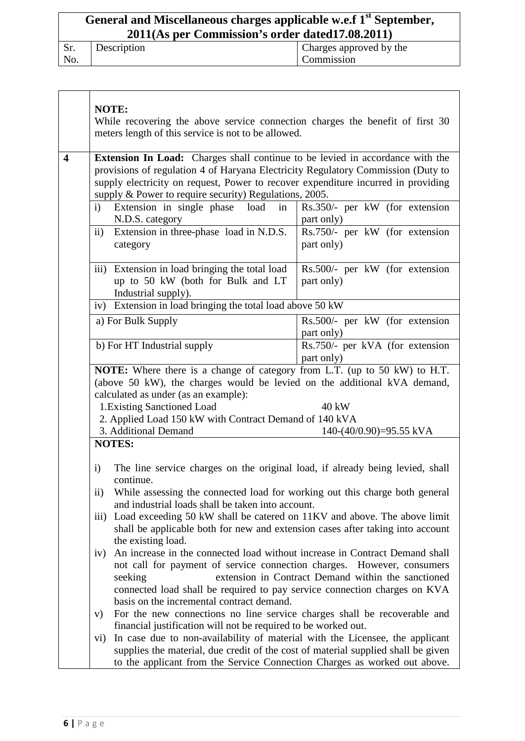# **General and Miscellaneous charges applicable w.e.f 1st September, 2011(As per Commission's order dated17.08.2011)**

| DI. | Description | Charges approved by the |
|-----|-------------|-------------------------|
| No. |             | Commission              |

|                         | <b>NOTE:</b><br>While recovering the above service connection charges the benefit of first 30<br>meters length of this service is not to be allowed.                                                                                                                                                                                                                                                                                                                                                                                                                                                                                                                                                                                                                                                                     |                                               |
|-------------------------|--------------------------------------------------------------------------------------------------------------------------------------------------------------------------------------------------------------------------------------------------------------------------------------------------------------------------------------------------------------------------------------------------------------------------------------------------------------------------------------------------------------------------------------------------------------------------------------------------------------------------------------------------------------------------------------------------------------------------------------------------------------------------------------------------------------------------|-----------------------------------------------|
| $\overline{\mathbf{4}}$ | <b>Extension In Load:</b> Charges shall continue to be levied in accordance with the<br>provisions of regulation 4 of Haryana Electricity Regulatory Commission (Duty to<br>supply electricity on request, Power to recover expenditure incurred in providing<br>supply & Power to require security) Regulations, 2005.                                                                                                                                                                                                                                                                                                                                                                                                                                                                                                  |                                               |
|                         | Extension in single phase load in<br>i)<br>N.D.S. category                                                                                                                                                                                                                                                                                                                                                                                                                                                                                                                                                                                                                                                                                                                                                               | Rs.350/- per kW (for extension<br>part only)  |
|                         | Extension in three-phase load in N.D.S.<br>$\mathbf{ii}$<br>category                                                                                                                                                                                                                                                                                                                                                                                                                                                                                                                                                                                                                                                                                                                                                     | Rs.750/- per kW (for extension<br>part only)  |
|                         | iii) Extension in load bringing the total load<br>up to 50 kW (both for Bulk and LT<br>Industrial supply).                                                                                                                                                                                                                                                                                                                                                                                                                                                                                                                                                                                                                                                                                                               | Rs.500/- per kW (for extension<br>part only)  |
|                         | iv) Extension in load bringing the total load above 50 kW                                                                                                                                                                                                                                                                                                                                                                                                                                                                                                                                                                                                                                                                                                                                                                |                                               |
|                         | a) For Bulk Supply                                                                                                                                                                                                                                                                                                                                                                                                                                                                                                                                                                                                                                                                                                                                                                                                       | Rs.500/- per kW (for extension<br>part only)  |
|                         | b) For HT Industrial supply                                                                                                                                                                                                                                                                                                                                                                                                                                                                                                                                                                                                                                                                                                                                                                                              | Rs.750/- per kVA (for extension<br>part only) |
|                         | NOTE: Where there is a change of category from L.T. (up to 50 kW) to H.T.<br>(above 50 kW), the charges would be levied on the additional kVA demand,<br>calculated as under (as an example):<br>1. Existing Sanctioned Load<br>40 kW<br>2. Applied Load 150 kW with Contract Demand of 140 kVA<br>3. Additional Demand<br>$140-(40/0.90)=95.55$ kVA                                                                                                                                                                                                                                                                                                                                                                                                                                                                     |                                               |
|                         | <b>NOTES:</b>                                                                                                                                                                                                                                                                                                                                                                                                                                                                                                                                                                                                                                                                                                                                                                                                            |                                               |
|                         | The line service charges on the original load, if already being levied, shall<br>$\mathbf{i}$<br>continue.<br>ii)<br>While assessing the connected load for working out this charge both general<br>and industrial loads shall be taken into account.<br>Load exceeding 50 kW shall be catered on 11KV and above. The above limit<br>$\overline{111}$<br>shall be applicable both for new and extension cases after taking into account<br>the existing load.<br>An increase in the connected load without increase in Contract Demand shall<br>iv)<br>not call for payment of service connection charges. However, consumers<br>extension in Contract Demand within the sanctioned<br>seeking<br>connected load shall be required to pay service connection charges on KVA<br>basis on the incremental contract demand. |                                               |
|                         |                                                                                                                                                                                                                                                                                                                                                                                                                                                                                                                                                                                                                                                                                                                                                                                                                          |                                               |
|                         |                                                                                                                                                                                                                                                                                                                                                                                                                                                                                                                                                                                                                                                                                                                                                                                                                          |                                               |
|                         | For the new connections no line service charges shall be recoverable and<br>V)<br>financial justification will not be required to be worked out.                                                                                                                                                                                                                                                                                                                                                                                                                                                                                                                                                                                                                                                                         |                                               |
|                         | In case due to non-availability of material with the Licensee, the applicant<br>vi)<br>supplies the material, due credit of the cost of material supplied shall be given<br>to the applicant from the Service Connection Charges as worked out above.                                                                                                                                                                                                                                                                                                                                                                                                                                                                                                                                                                    |                                               |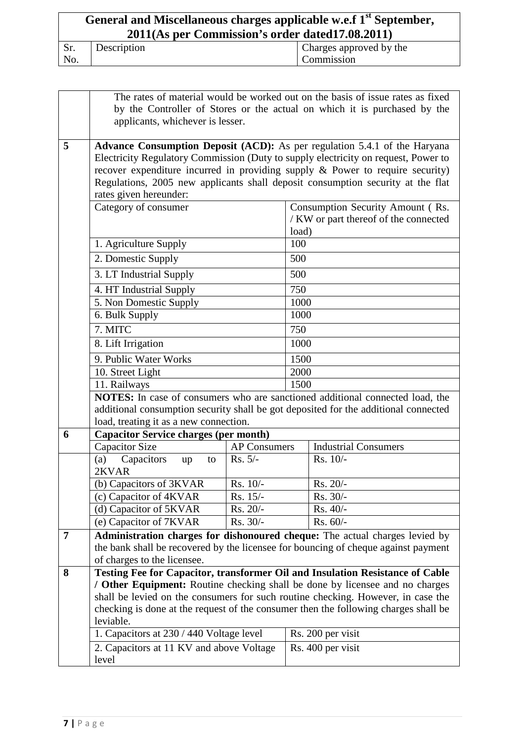| General and Miscellaneous charges applicable w.e.f 1 <sup>st</sup> September,<br>2011(As per Commission's order dated 17.08.2011) |             |                         |
|-----------------------------------------------------------------------------------------------------------------------------------|-------------|-------------------------|
| Sr.                                                                                                                               | Description | Charges approved by the |
| No.                                                                                                                               |             | <b>Commission</b>       |

|   | The rates of material would be worked out on the basis of issue rates as fixed                                                                                                                   |                     |                                  |                                                                               |  |  |
|---|--------------------------------------------------------------------------------------------------------------------------------------------------------------------------------------------------|---------------------|----------------------------------|-------------------------------------------------------------------------------|--|--|
|   | by the Controller of Stores or the actual on which it is purchased by the                                                                                                                        |                     |                                  |                                                                               |  |  |
|   | applicants, whichever is lesser.                                                                                                                                                                 |                     |                                  |                                                                               |  |  |
|   |                                                                                                                                                                                                  |                     |                                  |                                                                               |  |  |
| 5 | Advance Consumption Deposit (ACD): As per regulation 5.4.1 of the Haryana                                                                                                                        |                     |                                  |                                                                               |  |  |
|   | Electricity Regulatory Commission (Duty to supply electricity on request, Power to                                                                                                               |                     |                                  |                                                                               |  |  |
|   | recover expenditure incurred in providing supply $\&$ Power to require security)                                                                                                                 |                     |                                  |                                                                               |  |  |
|   | Regulations, 2005 new applicants shall deposit consumption security at the flat                                                                                                                  |                     |                                  |                                                                               |  |  |
|   | rates given hereunder:                                                                                                                                                                           |                     |                                  |                                                                               |  |  |
|   | Category of consumer                                                                                                                                                                             |                     | Consumption Security Amount (Rs. |                                                                               |  |  |
|   |                                                                                                                                                                                                  |                     |                                  | / KW or part thereof of the connected                                         |  |  |
|   | 1. Agriculture Supply                                                                                                                                                                            |                     | load)<br>100                     |                                                                               |  |  |
|   | 2. Domestic Supply                                                                                                                                                                               |                     | 500                              |                                                                               |  |  |
|   | 3. LT Industrial Supply                                                                                                                                                                          |                     | 500                              |                                                                               |  |  |
|   |                                                                                                                                                                                                  |                     | 750                              |                                                                               |  |  |
|   | 4. HT Industrial Supply<br>5. Non Domestic Supply                                                                                                                                                |                     | 1000                             |                                                                               |  |  |
|   | 6. Bulk Supply                                                                                                                                                                                   |                     | 1000                             |                                                                               |  |  |
|   | 7. MITC                                                                                                                                                                                          |                     | 750                              |                                                                               |  |  |
|   | 8. Lift Irrigation                                                                                                                                                                               |                     | 1000                             |                                                                               |  |  |
|   | 9. Public Water Works                                                                                                                                                                            |                     | 1500                             |                                                                               |  |  |
|   | 10. Street Light                                                                                                                                                                                 |                     | 2000                             |                                                                               |  |  |
|   | 11. Railways                                                                                                                                                                                     |                     | 1500                             |                                                                               |  |  |
|   | NOTES: In case of consumers who are sanctioned additional connected load, the                                                                                                                    |                     |                                  |                                                                               |  |  |
|   | additional consumption security shall be got deposited for the additional connected                                                                                                              |                     |                                  |                                                                               |  |  |
|   | load, treating it as a new connection.                                                                                                                                                           |                     |                                  |                                                                               |  |  |
| 6 | <b>Capacitor Service charges (per month)</b>                                                                                                                                                     |                     |                                  |                                                                               |  |  |
|   | <b>Capacitor Size</b>                                                                                                                                                                            | <b>AP Consumers</b> |                                  | <b>Industrial Consumers</b>                                                   |  |  |
|   | (a) Capacitors<br>up<br>to                                                                                                                                                                       | $Rs. 5/-$           |                                  | Rs. 10/-                                                                      |  |  |
|   | 2KVAR                                                                                                                                                                                            |                     |                                  |                                                                               |  |  |
|   | (b) Capacitors of 3KVAR                                                                                                                                                                          | $Rs. 10/-$          |                                  | Rs. 20/-                                                                      |  |  |
|   | (c) Capacitor of 4KVAR                                                                                                                                                                           | $Rs. 15/-$          |                                  | Rs. 30/-                                                                      |  |  |
|   | (d) Capacitor of 5KVAR                                                                                                                                                                           | $Rs. 20/-$          |                                  | $Rs. 40/-$                                                                    |  |  |
|   | (e) Capacitor of 7KVAR                                                                                                                                                                           | Rs. 30/-            |                                  | Rs. 60/-                                                                      |  |  |
| 7 | Administration charges for dishonoured cheque: The actual charges levied by<br>the bank shall be recovered by the licensee for bouncing of cheque against payment<br>of charges to the licensee. |                     |                                  |                                                                               |  |  |
|   |                                                                                                                                                                                                  |                     |                                  |                                                                               |  |  |
|   |                                                                                                                                                                                                  |                     |                                  |                                                                               |  |  |
| 8 |                                                                                                                                                                                                  |                     |                                  | Testing Fee for Capacitor, transformer Oil and Insulation Resistance of Cable |  |  |
|   | / Other Equipment: Routine checking shall be done by licensee and no charges                                                                                                                     |                     |                                  |                                                                               |  |  |
|   | shall be levied on the consumers for such routine checking. However, in case the                                                                                                                 |                     |                                  |                                                                               |  |  |
|   | checking is done at the request of the consumer then the following charges shall be<br>leviable.                                                                                                 |                     |                                  |                                                                               |  |  |
|   | 1. Capacitors at 230 / 440 Voltage level                                                                                                                                                         |                     |                                  | Rs. 200 per visit                                                             |  |  |
|   |                                                                                                                                                                                                  |                     |                                  | Rs. 400 per visit                                                             |  |  |
|   | 2. Capacitors at 11 KV and above Voltage<br>level                                                                                                                                                |                     |                                  |                                                                               |  |  |